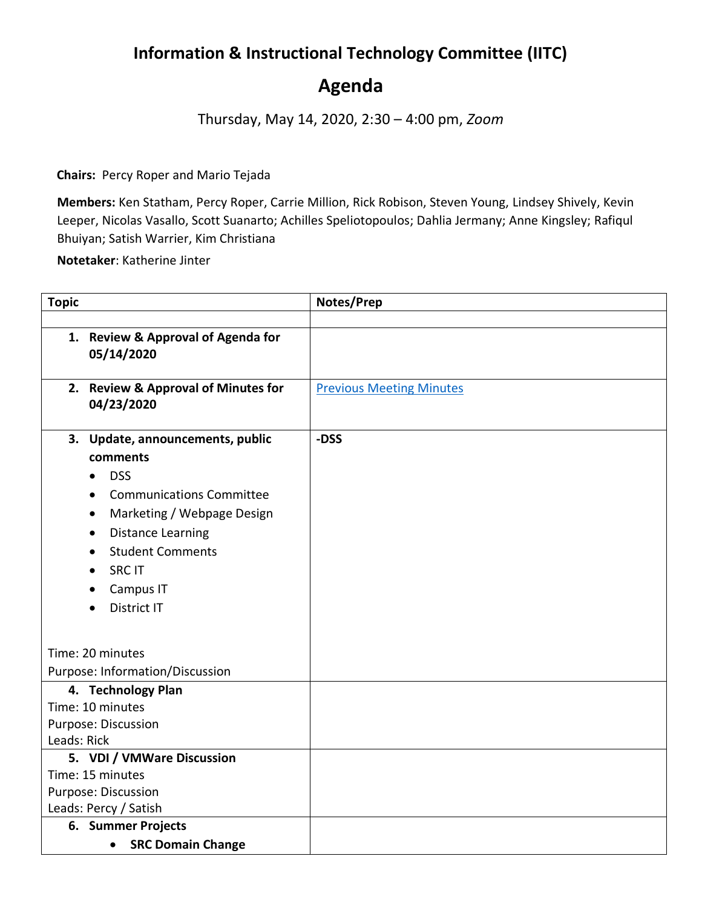## **Information & Instructional Technology Committee (IITC)**

## **Agenda**

Thursday, May 14, 2020, 2:30 – 4:00 pm, *Zoom*

**Chairs:** Percy Roper and Mario Tejada

**Members:** Ken Statham, Percy Roper, Carrie Million, Rick Robison, Steven Young, Lindsey Shively, Kevin Leeper, Nicolas Vasallo, Scott Suanarto; Achilles Speliotopoulos; Dahlia Jermany; Anne Kingsley; Rafiqul Bhuiyan; Satish Warrier, Kim Christiana

**Notetaker**: Katherine Jinter

| <b>Topic</b>                       |                                     | Notes/Prep                      |
|------------------------------------|-------------------------------------|---------------------------------|
|                                    |                                     |                                 |
|                                    | 1. Review & Approval of Agenda for  |                                 |
|                                    | 05/14/2020                          |                                 |
|                                    |                                     |                                 |
|                                    | 2. Review & Approval of Minutes for | <b>Previous Meeting Minutes</b> |
|                                    | 04/23/2020                          |                                 |
|                                    | 3. Update, announcements, public    | -DSS                            |
|                                    | comments                            |                                 |
|                                    | <b>DSS</b>                          |                                 |
|                                    | <b>Communications Committee</b>     |                                 |
|                                    | Marketing / Webpage Design          |                                 |
|                                    | <b>Distance Learning</b>            |                                 |
|                                    | <b>Student Comments</b>             |                                 |
|                                    | <b>SRC IT</b>                       |                                 |
|                                    | Campus IT                           |                                 |
|                                    | District IT                         |                                 |
|                                    |                                     |                                 |
|                                    |                                     |                                 |
| Time: 20 minutes                   |                                     |                                 |
| Purpose: Information/Discussion    |                                     |                                 |
| 4. Technology Plan                 |                                     |                                 |
| Time: 10 minutes                   |                                     |                                 |
| Purpose: Discussion<br>Leads: Rick |                                     |                                 |
| 5. VDI / VMWare Discussion         |                                     |                                 |
| Time: 15 minutes                   |                                     |                                 |
| Purpose: Discussion                |                                     |                                 |
| Leads: Percy / Satish              |                                     |                                 |
| 6. Summer Projects                 |                                     |                                 |
|                                    | <b>SRC Domain Change</b>            |                                 |